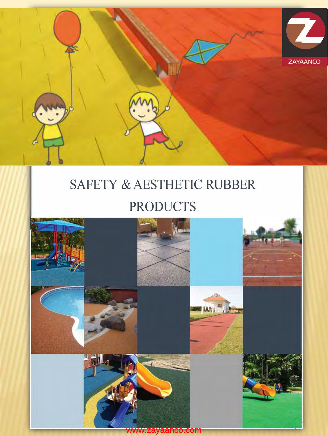

# SAFETY & AESTHETIC RUBBER PRODUCTS

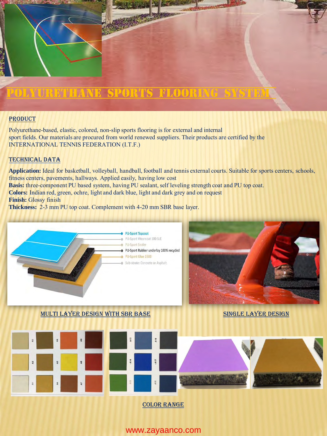## POLYURETHANE SPORTS FLOORING SYSTEM

#### PRODUCT

Polyurethane-based, elastic, colored, non-slip sports flooring is for external and internal sport fields. Our materials are procured from world renewed suppliers. Their products are certified by the INTERNATIONAL TENNIS FEDERATION (I.T.F.)

#### Technical Data

**Application:** Ideal for basketball, volleyball, handball, football and tennis external courts. Suitable for sports centers, schools, fitness centers, pavements, hallways. Applied easily, having low cost

**Basis:** three-component PU based system, having PU sealant, self leveling strength coat and PU top coat.

**Colors:** Indian red, green, ochre, light and dark blue, light and dark grey and on request

**Finish:** Glossy finish

**Thickness:** 2-3 mm PU top coat. Complement with 4-20 mm SBR base layer.



www.zayaanco.com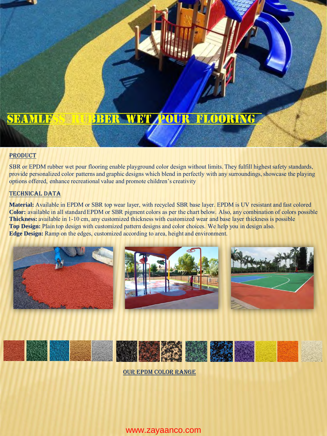## SEAMLESS REER WET POUR FLOORING

## PRODUCT

SBR or EPDM rubber wet pour flooring enable playground color design without limits. They fulfill highest safety standards, provide personalized color patterns and graphic designs which blend in perfectly with any surroundings, showcase the playing options offered, enhance recreational value and promote children's creativity

## TECHNICAL DATA

**Material:** Available in EPDM or SBR top wear layer, with recycled SBR base layer. EPDM is UV resistant and fast colored **Color:** available in all standard EPDM or SBR pigment colors as per the chart below. Also, any combination of colors possible **Thickness:** available in 1-10 cm, any customized thickness with customized wear and base layer thickness is possible **Top Design:** Plain top design with customized pattern designs and color choices. We help you in design also. **Edge Design:** Ramp on the edges, customized according to area, height and environment.





OUR EPDM COLOR RANGE

## www.zayaanco.com